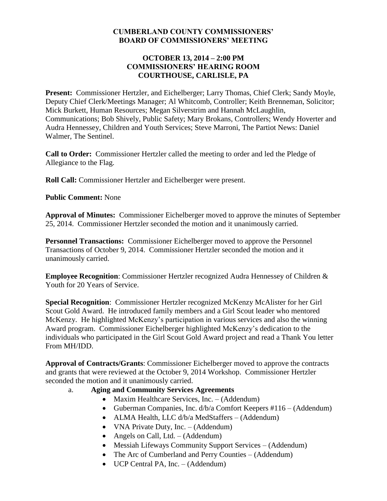### **CUMBERLAND COUNTY COMMISSIONERS' BOARD OF COMMISSIONERS' MEETING**

#### **OCTOBER 13, 2014 – 2:00 PM COMMISSIONERS' HEARING ROOM COURTHOUSE, CARLISLE, PA**

**Present:** Commissioner Hertzler, and Eichelberger; Larry Thomas, Chief Clerk; Sandy Moyle, Deputy Chief Clerk/Meetings Manager; Al Whitcomb, Controller; Keith Brenneman, Solicitor; Mick Burkett, Human Resources; Megan Silverstrim and Hannah McLaughlin, Communications; Bob Shively, Public Safety; Mary Brokans, Controllers; Wendy Hoverter and Audra Hennessey, Children and Youth Services; Steve Marroni, The Partiot News: Daniel Walmer, The Sentinel.

**Call to Order:** Commissioner Hertzler called the meeting to order and led the Pledge of Allegiance to the Flag.

**Roll Call:** Commissioner Hertzler and Eichelberger were present.

**Public Comment:** None

**Approval of Minutes:** Commissioner Eichelberger moved to approve the minutes of September 25, 2014. Commissioner Hertzler seconded the motion and it unanimously carried.

**Personnel Transactions:** Commissioner Eichelberger moved to approve the Personnel Transactions of October 9, 2014. Commissioner Hertzler seconded the motion and it unanimously carried.

**Employee Recognition**: Commissioner Hertzler recognized Audra Hennessey of Children & Youth for 20 Years of Service.

**Special Recognition**: Commissioner Hertzler recognized McKenzy McAlister for her Girl Scout Gold Award. He introduced family members and a Girl Scout leader who mentored McKenzy. He highlighted McKenzy's participation in various services and also the winning Award program. Commissioner Eichelberger highlighted McKenzy's dedication to the individuals who participated in the Girl Scout Gold Award project and read a Thank You letter From MH/IDD.

**Approval of Contracts/Grants**: Commissioner Eichelberger moved to approve the contracts and grants that were reviewed at the October 9, 2014 Workshop. Commissioner Hertzler seconded the motion and it unanimously carried.

#### a. **Aging and Community Services Agreements**

- Maxim Healthcare Services, Inc. (Addendum)
- Guberman Companies, Inc. d/b/a Comfort Keepers #116 (Addendum)
- ALMA Health, LLC d/b/a MedStaffers (Addendum)
- VNA Private Duty, Inc. (Addendum)
- Angels on Call, Ltd.  $-$  (Addendum)
- Messiah Lifeways Community Support Services (Addendum)
- The Arc of Cumberland and Perry Counties (Addendum)
- UCP Central PA, Inc. (Addendum)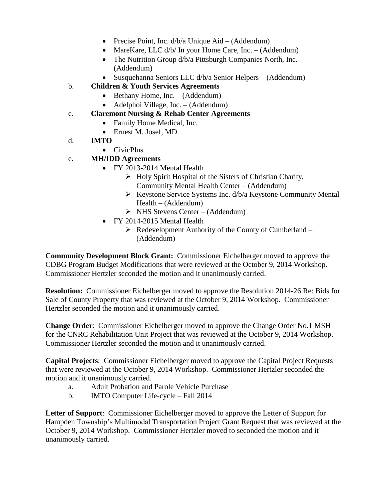- Precise Point, Inc.  $d/b/a$  Unique Aid (Addendum)
- MareKare, LLC d/b/ In your Home Care, Inc. (Addendum)
- The Nutrition Group  $\frac{d}{b}{a}$  Pittsburgh Companies North, Inc. (Addendum)
- Susquehanna Seniors LLC d/b/a Senior Helpers (Addendum)

# b. **Children & Youth Services Agreements**

- $\bullet$  Bethany Home, Inc. (Addendum)
- Adelphoi Village, Inc. (Addendum)
- c. **Claremont Nursing & Rehab Center Agreements**
	- Family Home Medical, Inc.
	- Ernest M. Josef, MD
- d. **IMTO**
	- CivicPlus

## e. **MH/IDD Agreements**

- FY 2013-2014 Mental Health
	- $\triangleright$  Holy Spirit Hospital of the Sisters of Christian Charity, Community Mental Health Center – (Addendum)
	- $\triangleright$  Keystone Service Systems Inc. d/b/a Keystone Community Mental Health – (Addendum)
	- $\triangleright$  NHS Stevens Center (Addendum)
- FY 2014-2015 Mental Health
	- $\triangleright$  Redevelopment Authority of the County of Cumberland (Addendum)

**Community Development Block Grant:** Commissioner Eichelberger moved to approve the CDBG Program Budget Modifications that were reviewed at the October 9, 2014 Workshop. Commissioner Hertzler seconded the motion and it unanimously carried.

**Resolution:** Commissioner Eichelberger moved to approve the Resolution 2014-26 Re: Bids for Sale of County Property that was reviewed at the October 9, 2014 Workshop. Commissioner Hertzler seconded the motion and it unanimously carried.

**Change Order**: Commissioner Eichelberger moved to approve the Change Order No.1 MSH for the CNRC Rehabilitation Unit Project that was reviewed at the October 9, 2014 Workshop. Commissioner Hertzler seconded the motion and it unanimously carried.

**Capital Projects**: Commissioner Eichelberger moved to approve the Capital Project Requests that were reviewed at the October 9, 2014 Workshop. Commissioner Hertzler seconded the motion and it unanimously carried.

- a. Adult Probation and Parole Vehicle Purchase
- b. IMTO Computer Life-cycle Fall 2014

**Letter of Support**: Commissioner Eichelberger moved to approve the Letter of Support for Hampden Township's Multimodal Transportation Project Grant Request that was reviewed at the October 9, 2014 Workshop. Commissioner Hertzler moved to seconded the motion and it unanimously carried.